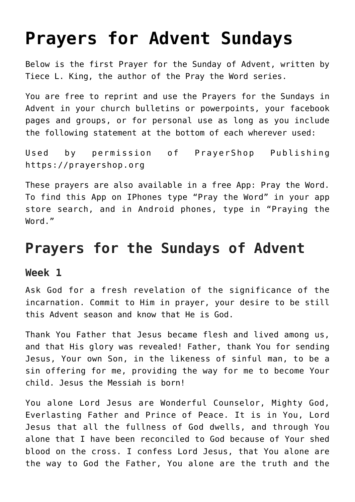## **[Prayers for Advent Sundays](https://www.prayerleader.com/prayers-for-advent-sundays/)**

Below is the first Prayer for the Sunday of Advent, written by Tiece L. King, the author of the Pray the Word series.

You are free to reprint and use the [Prayers for the Sundays in](https://www.prayerleader.com/wp-content/uploads/2021/11/Advent-PDF.pdf) [Advent](https://www.prayerleader.com/wp-content/uploads/2021/11/Advent-PDF.pdf) in your church bulletins or powerpoints, your facebook pages and groups, or for personal use as long as you include the following statement at the bottom of each wherever used:

Used by permission of PrayerShop Publishing <https://prayershop.org>

These prayers are also available in a free App: Pray the Word. To find this App on IPhones type "Pray the Word" in your app store search, and in Android phones, type in "Praying the Word."

## **Prayers for the Sundays of Advent**

## **Week 1**

Ask God for a fresh revelation of the significance of the incarnation. Commit to Him in prayer, your desire to be still this Advent season and know that He is God.

Thank You Father that Jesus became flesh and lived among us, and that His glory was revealed! Father, thank You for sending Jesus, Your own Son, in the likeness of sinful man, to be a sin offering for me, providing the way for me to become Your child. Jesus the Messiah is born!

You alone Lord Jesus are Wonderful Counselor, Mighty God, Everlasting Father and Prince of Peace. It is in You, Lord Jesus that all the fullness of God dwells, and through You alone that I have been reconciled to God because of Your shed blood on the cross. I confess Lord Jesus, that You alone are the way to God the Father, You alone are the truth and the